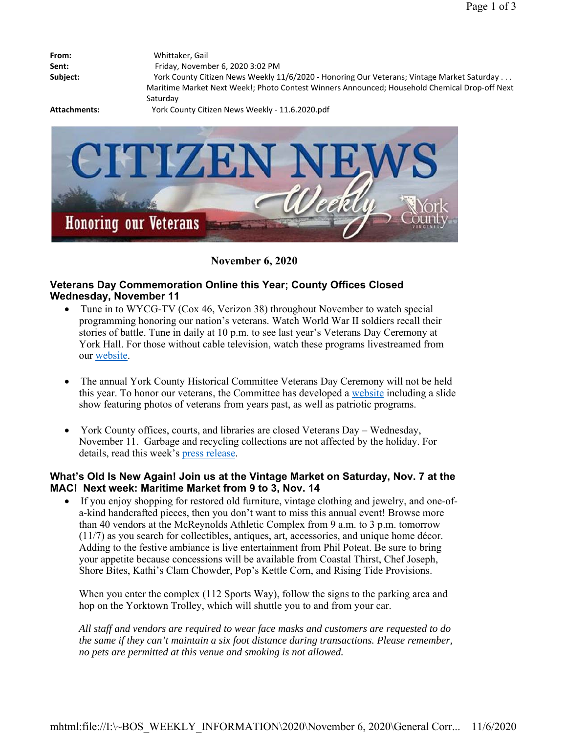| From:        | Whittaker, Gail                                                                               |
|--------------|-----------------------------------------------------------------------------------------------|
| Sent:        | Friday, November 6, 2020 3:02 PM                                                              |
| Subject:     | York County Citizen News Weekly 11/6/2020 - Honoring Our Veterans; Vintage Market Saturday    |
|              | Maritime Market Next Week!; Photo Contest Winners Announced; Household Chemical Drop-off Next |
|              | Saturdav                                                                                      |
| Attachmonte: | Vork County Citizen News Weekly - 11 6 2020 ndf                                               |

**Attachments:** York County Citizen News Weekly - 11.6.2020.pdf



## **November 6, 2020**

#### **Veterans Day Commemoration Online this Year; County Offices Closed Wednesday, November 11**

- Tune in to WYCG-TV (Cox 46, Verizon 38) throughout November to watch special programming honoring our nation's veterans. Watch World War II soldiers recall their stories of battle. Tune in daily at 10 p.m. to see last year's Veterans Day Ceremony at York Hall. For those without cable television, watch these programs livestreamed from our website.
- The annual York County Historical Committee Veterans Day Ceremony will not be held this year. To honor our veterans, the Committee has developed a website including a slide show featuring photos of veterans from years past, as well as patriotic programs.
- York County offices, courts, and libraries are closed Veterans Day Wednesday, November 11. Garbage and recycling collections are not affected by the holiday. For details, read this week's press release.

## **What's Old Is New Again! Join us at the Vintage Market on Saturday, Nov. 7 at the MAC! Next week: Maritime Market from 9 to 3, Nov. 14**

 If you enjoy shopping for restored old furniture, vintage clothing and jewelry, and one-ofa-kind handcrafted pieces, then you don't want to miss this annual event! Browse more than 40 vendors at the McReynolds Athletic Complex from 9 a.m. to 3 p.m. tomorrow (11/7) as you search for collectibles, antiques, art, accessories, and unique home décor. Adding to the festive ambiance is live entertainment from Phil Poteat. Be sure to bring your appetite because concessions will be available from Coastal Thirst, Chef Joseph, Shore Bites, Kathi's Clam Chowder, Pop's Kettle Corn, and Rising Tide Provisions.

When you enter the complex (112 Sports Way), follow the signs to the parking area and hop on the Yorktown Trolley, which will shuttle you to and from your car.

*All staff and vendors are required to wear face masks and customers are requested to do the same if they can't maintain a six foot distance during transactions. Please remember, no pets are permitted at this venue and smoking is not allowed.*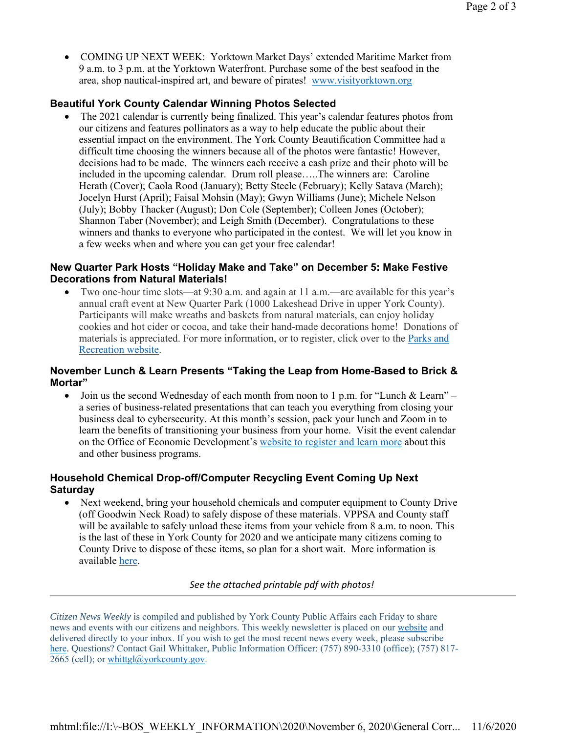COMING UP NEXT WEEK: Yorktown Market Days' extended Maritime Market from 9 a.m. to 3 p.m. at the Yorktown Waterfront. Purchase some of the best seafood in the area, shop nautical-inspired art, and beware of pirates! www.visityorktown.org

## **Beautiful York County Calendar Winning Photos Selected**

 The 2021 calendar is currently being finalized. This year's calendar features photos from our citizens and features pollinators as a way to help educate the public about their essential impact on the environment. The York County Beautification Committee had a difficult time choosing the winners because all of the photos were fantastic! However, decisions had to be made. The winners each receive a cash prize and their photo will be included in the upcoming calendar. Drum roll please…..The winners are: Caroline Herath (Cover); Caola Rood (January); Betty Steele (February); Kelly Satava (March); Jocelyn Hurst (April); Faisal Mohsin (May); Gwyn Williams (June); Michele Nelson (July); Bobby Thacker (August); Don Cole (September); Colleen Jones (October); Shannon Taber (November); and Leigh Smith (December). Congratulations to these winners and thanks to everyone who participated in the contest. We will let you know in a few weeks when and where you can get your free calendar!

## **New Quarter Park Hosts "Holiday Make and Take" on December 5: Make Festive Decorations from Natural Materials!**

 Two one-hour time slots—at 9:30 a.m. and again at 11 a.m.—are available for this year's annual craft event at New Quarter Park (1000 Lakeshead Drive in upper York County). Participants will make wreaths and baskets from natural materials, can enjoy holiday cookies and hot cider or cocoa, and take their hand-made decorations home! Donations of materials is appreciated. For more information, or to register, click over to the Parks and Recreation website.

## **November Lunch & Learn Presents "Taking the Leap from Home-Based to Brick & Mortar"**

 $\bullet$  Join us the second Wednesday of each month from noon to 1 p.m. for "Lunch & Learn" – a series of business-related presentations that can teach you everything from closing your business deal to cybersecurity. At this month's session, pack your lunch and Zoom in to learn the benefits of transitioning your business from your home. Visit the event calendar on the Office of Economic Development's website to register and learn more about this and other business programs.

# **Household Chemical Drop-off/Computer Recycling Event Coming Up Next Saturday**

 Next weekend, bring your household chemicals and computer equipment to County Drive (off Goodwin Neck Road) to safely dispose of these materials. VPPSA and County staff will be available to safely unload these items from your vehicle from 8 a.m. to noon. This is the last of these in York County for 2020 and we anticipate many citizens coming to County Drive to dispose of these items, so plan for a short wait. More information is available here.

#### *See the attached printable pdf with photos!*

*Citizen News Weekly* is compiled and published by York County Public Affairs each Friday to share news and events with our citizens and neighbors. This weekly newsletter is placed on our website and delivered directly to your inbox. If you wish to get the most recent news every week, please subscribe here. Questions? Contact Gail Whittaker, Public Information Officer: (757) 890-3310 (office); (757) 817- 2665 (cell); or whittel@yorkcounty.gov.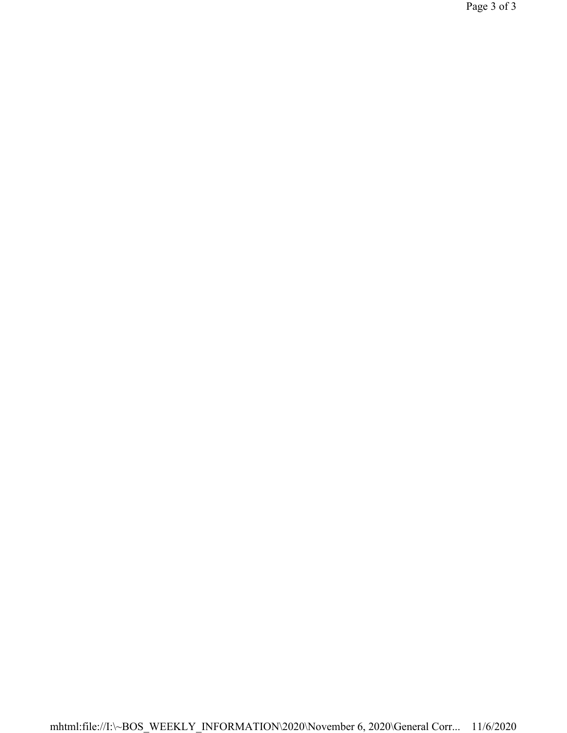Page 3 of 3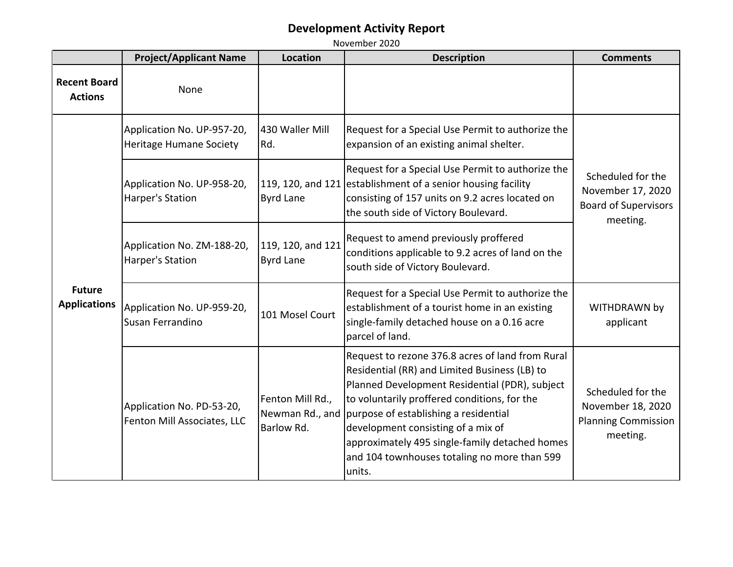|                                       | <b>Project/Applicant Name</b>                                | <b>Location</b>                                   | <b>Description</b>                                                                                                                                                                                                                                                                                                                                                                             | <b>Comments</b>                                                                   |
|---------------------------------------|--------------------------------------------------------------|---------------------------------------------------|------------------------------------------------------------------------------------------------------------------------------------------------------------------------------------------------------------------------------------------------------------------------------------------------------------------------------------------------------------------------------------------------|-----------------------------------------------------------------------------------|
| <b>Recent Board</b><br><b>Actions</b> | None                                                         |                                                   |                                                                                                                                                                                                                                                                                                                                                                                                |                                                                                   |
| <b>Future</b><br><b>Applications</b>  | Application No. UP-957-20,<br><b>Heritage Humane Society</b> | 430 Waller Mill<br>Rd.                            | Request for a Special Use Permit to authorize the<br>expansion of an existing animal shelter.                                                                                                                                                                                                                                                                                                  | Scheduled for the<br>November 17, 2020<br><b>Board of Supervisors</b><br>meeting. |
|                                       | Application No. UP-958-20,<br>Harper's Station               | <b>Byrd Lane</b>                                  | Request for a Special Use Permit to authorize the<br>119, 120, and 121 establishment of a senior housing facility<br>consisting of 157 units on 9.2 acres located on<br>the south side of Victory Boulevard.                                                                                                                                                                                   |                                                                                   |
|                                       | Application No. ZM-188-20,<br>Harper's Station               | 119, 120, and 121<br><b>Byrd Lane</b>             | Request to amend previously proffered<br>conditions applicable to 9.2 acres of land on the<br>south side of Victory Boulevard.                                                                                                                                                                                                                                                                 |                                                                                   |
|                                       | Application No. UP-959-20,<br>Susan Ferrandino               | 101 Mosel Court                                   | Request for a Special Use Permit to authorize the<br>establishment of a tourist home in an existing<br>single-family detached house on a 0.16 acre<br>parcel of land.                                                                                                                                                                                                                          | WITHDRAWN by<br>applicant                                                         |
|                                       | Application No. PD-53-20,<br>Fenton Mill Associates, LLC     | Fenton Mill Rd.,<br>Newman Rd., and<br>Barlow Rd. | Request to rezone 376.8 acres of land from Rural<br>Residential (RR) and Limited Business (LB) to<br>Planned Development Residential (PDR), subject<br>to voluntarily proffered conditions, for the<br>purpose of establishing a residential<br>development consisting of a mix of<br>approximately 495 single-family detached homes<br>and 104 townhouses totaling no more than 599<br>units. | Scheduled for the<br>November 18, 2020<br><b>Planning Commission</b><br>meeting.  |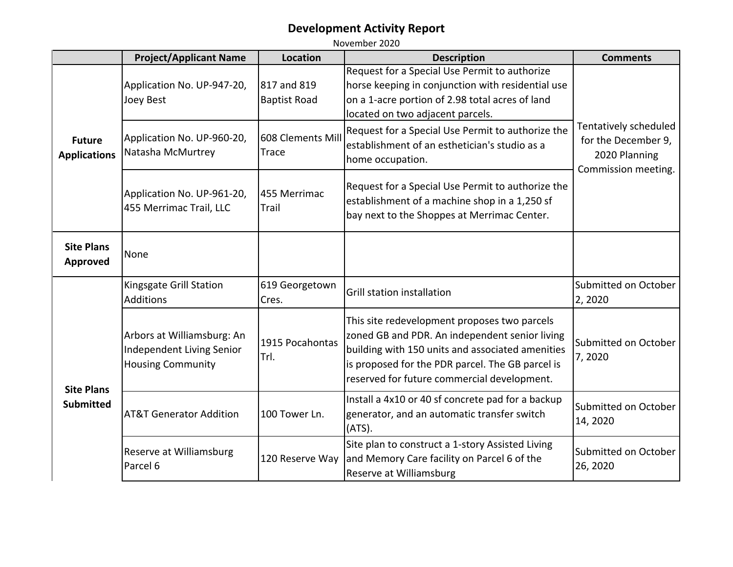|                                       | <b>Project/Applicant Name</b>                                                       | <b>Location</b>                    | <b>Description</b>                                                                                                                                                                                                                                    | <b>Comments</b>                                                                      |
|---------------------------------------|-------------------------------------------------------------------------------------|------------------------------------|-------------------------------------------------------------------------------------------------------------------------------------------------------------------------------------------------------------------------------------------------------|--------------------------------------------------------------------------------------|
| <b>Future</b><br><b>Applications</b>  | Application No. UP-947-20,<br>Joey Best                                             | 817 and 819<br><b>Baptist Road</b> | Request for a Special Use Permit to authorize<br>horse keeping in conjunction with residential use<br>on a 1-acre portion of 2.98 total acres of land<br>located on two adjacent parcels.                                                             | Tentatively scheduled<br>for the December 9,<br>2020 Planning<br>Commission meeting. |
|                                       | Application No. UP-960-20,<br>Natasha McMurtrey                                     | 608 Clements Mil<br><b>Trace</b>   | Request for a Special Use Permit to authorize the<br>establishment of an esthetician's studio as a<br>home occupation.                                                                                                                                |                                                                                      |
|                                       | Application No. UP-961-20,<br>455 Merrimac Trail, LLC                               | 455 Merrimac<br><b>Trail</b>       | Request for a Special Use Permit to authorize the<br>establishment of a machine shop in a 1,250 sf<br>bay next to the Shoppes at Merrimac Center.                                                                                                     |                                                                                      |
| <b>Site Plans</b><br>Approved         | None                                                                                |                                    |                                                                                                                                                                                                                                                       |                                                                                      |
| <b>Site Plans</b><br><b>Submitted</b> | Kingsgate Grill Station<br><b>Additions</b>                                         | 619 Georgetown<br>Cres.            | Grill station installation                                                                                                                                                                                                                            | Submitted on October<br>2,2020                                                       |
|                                       | Arbors at Williamsburg: An<br>Independent Living Senior<br><b>Housing Community</b> | 1915 Pocahontas<br>Trl.            | This site redevelopment proposes two parcels<br>zoned GB and PDR. An independent senior living<br>building with 150 units and associated amenities<br>is proposed for the PDR parcel. The GB parcel is<br>reserved for future commercial development. | Submitted on October<br>7,2020                                                       |
|                                       | <b>AT&amp;T Generator Addition</b>                                                  | 100 Tower Ln.                      | Install a 4x10 or 40 sf concrete pad for a backup<br>generator, and an automatic transfer switch<br>(ATS).                                                                                                                                            | Submitted on October<br>14, 2020                                                     |
|                                       | Reserve at Williamsburg<br>Parcel 6                                                 | 120 Reserve Way                    | Site plan to construct a 1-story Assisted Living<br>and Memory Care facility on Parcel 6 of the<br>Reserve at Williamsburg                                                                                                                            | Submitted on October<br>26, 2020                                                     |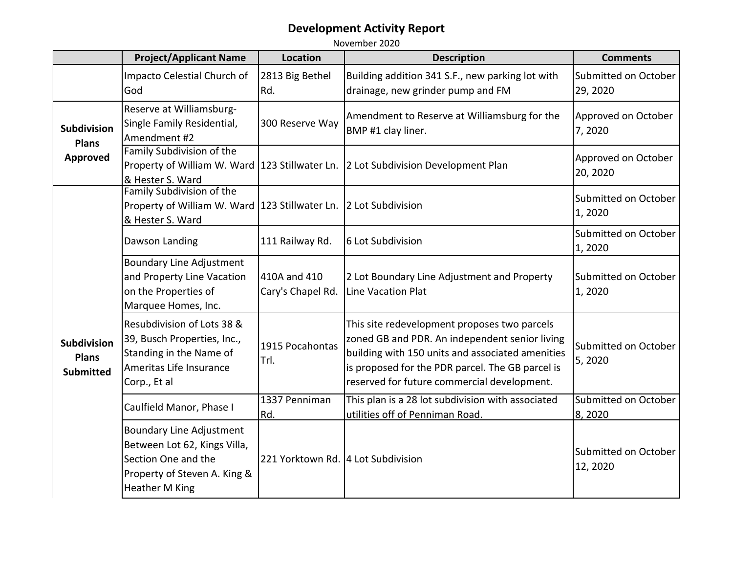|                                                        | <b>Project/Applicant Name</b>                                                                                                                   | <b>Location</b>                    | <b>Description</b>                                                                                                                                                                                                                                    | <b>Comments</b>                  |
|--------------------------------------------------------|-------------------------------------------------------------------------------------------------------------------------------------------------|------------------------------------|-------------------------------------------------------------------------------------------------------------------------------------------------------------------------------------------------------------------------------------------------------|----------------------------------|
|                                                        | Impacto Celestial Church of<br>God                                                                                                              | 2813 Big Bethel<br>Rd.             | Building addition 341 S.F., new parking lot with<br>drainage, new grinder pump and FM                                                                                                                                                                 | Submitted on October<br>29, 2020 |
| <b>Subdivision</b><br><b>Plans</b><br><b>Approved</b>  | Reserve at Williamsburg-<br>Single Family Residential,<br>Amendment #2                                                                          | 300 Reserve Way                    | Amendment to Reserve at Williamsburg for the<br>BMP #1 clay liner.                                                                                                                                                                                    | Approved on October<br>7,2020    |
|                                                        | Family Subdivision of the<br>& Hester S. Ward                                                                                                   |                                    | Property of William W. Ward 123 Stillwater Ln. 2 Lot Subdivision Development Plan                                                                                                                                                                     | Approved on October<br>20, 2020  |
| <b>Subdivision</b><br><b>Plans</b><br><b>Submitted</b> | Family Subdivision of the<br>Property of William W. Ward 123 Stillwater Ln.<br>& Hester S. Ward                                                 |                                    | 2 Lot Subdivision                                                                                                                                                                                                                                     | Submitted on October<br>1,2020   |
|                                                        | Dawson Landing                                                                                                                                  | 111 Railway Rd.                    | 6 Lot Subdivision                                                                                                                                                                                                                                     | Submitted on October<br>1,2020   |
|                                                        | <b>Boundary Line Adjustment</b><br>and Property Line Vacation<br>on the Properties of<br>Marquee Homes, Inc.                                    | 410A and 410<br>Cary's Chapel Rd.  | 2 Lot Boundary Line Adjustment and Property<br>Line Vacation Plat                                                                                                                                                                                     | Submitted on October<br>1,2020   |
|                                                        | Resubdivision of Lots 38 &<br>39, Busch Properties, Inc.,<br>Standing in the Name of<br>Ameritas Life Insurance<br>Corp., Et al                 | 1915 Pocahontas<br>Trl.            | This site redevelopment proposes two parcels<br>zoned GB and PDR. An independent senior living<br>building with 150 units and associated amenities<br>is proposed for the PDR parcel. The GB parcel is<br>reserved for future commercial development. | Submitted on October<br>5,2020   |
|                                                        | Caulfield Manor, Phase I                                                                                                                        | 1337 Penniman<br>Rd.               | This plan is a 28 lot subdivision with associated<br>utilities off of Penniman Road.                                                                                                                                                                  | Submitted on October<br>8,2020   |
|                                                        | <b>Boundary Line Adjustment</b><br>Between Lot 62, Kings Villa,<br>Section One and the<br>Property of Steven A. King &<br><b>Heather M King</b> | 221 Yorktown Rd. 4 Lot Subdivision |                                                                                                                                                                                                                                                       | Submitted on October<br>12, 2020 |